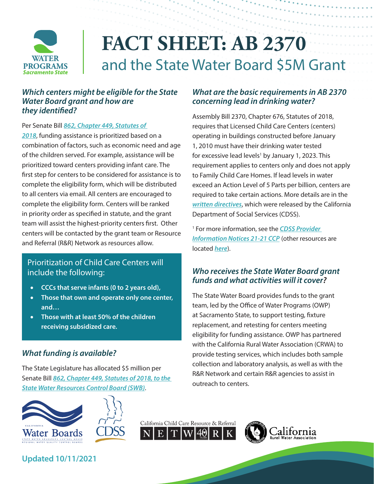

# **FACT SHEET: AB 2370** and the State Water Board \$5M Grant

#### *Which centers might be eligible for the State Water Board grant and how are they identified?*

Per Senate Bill *[862, Chapter 449, Statutes of](http://leginfo.legislature.ca.gov/faces/billNavClient.xhtml?bill_id=201720180SB862)* 

*[2018](http://leginfo.legislature.ca.gov/faces/billNavClient.xhtml?bill_id=201720180SB862)*, funding assistance is prioritized based on a combination of factors, such as economic need and age of the children served. For example, assistance will be prioritized toward centers providing infant care. The first step for centers to be considered for assistance is to complete the eligibility form, which will be distributed to all centers via email. All centers are encouraged to complete the eligibility form. Centers will be ranked in priority order as specified in statute, and the grant team will assist the highest-priority centers first. Other centers will be contacted by the grant team or Resource and Referral (R&R) Network as resources allow.

#### Prioritization of Child Care Centers will include the following:

- **CCCs that serve infants (0 to 2 years old),**
- • **Those that own and operate only one center, and…**
- **Those with at least 50% of the children receiving subsidized care.**

### *What funding is available?*

The State Legislature has allocated \$5 million per Senate Bill *[862, Chapter 449, Statutes of 2018](http://leginfo.legislature.ca.gov/faces/billNavClient.xhtml?bill_id=201720180SB862A%3D&reserved=0), to the State Water Resources Control Board (SWB)*.









#### *What are the basic requirements in AB 2370 concerning lead in drinking water?*

Assembly Bill 2370, Chapter 676, Statutes of 2018, requires that Licensed Child Care Centers (centers) operating in buildings constructed before January 1, 2010 must have their drinking water tested for excessive lead levels<sup>1</sup> by January 1, 2023. This requirement applies to centers only and does not apply to Family Child Care Homes. If lead levels in water exceed an Action Level of 5 Parts per billion, centers are required to take certain actions. More details are in the *[written directives](https://www.cdss.ca.gov/Portals/9/CCLD/PINs/2021/CCP/PIN-21-21-CCP.pdf)*, which were released by the California Department of Social Services (CDSS).

1 For more information, see the *[CDSS Provider](https://www.cdss.ca.gov/Portals/9/CCLD/PINs/2021/CCP/PIN-21-21-CCP.pdf)  [Information Notices](https://www.cdss.ca.gov/Portals/9/CCLD/PINs/2021/CCP/PIN-21-21-CCP.pdf) 21-21 CCP* (other resources are located *[here](https://www.cdss.ca.gov/inforesources/child-care-licensing/water-testing-information)*).

#### *Who receives the State Water Board grant funds and what activities will it cover?*

The State Water Board provides funds to the grant team, led by the Office of Water Programs (OWP) at Sacramento State, to support testing, fixture replacement, and retesting for centers meeting eligibility for funding assistance. OWP has partnered with the California Rural Water Association (CRWA) to provide testing services, which includes both sample collection and laboratory analysis, as well as with the R&R Network and certain R&R agencies to assist in outreach to centers.

**Updated 10/11/2021**